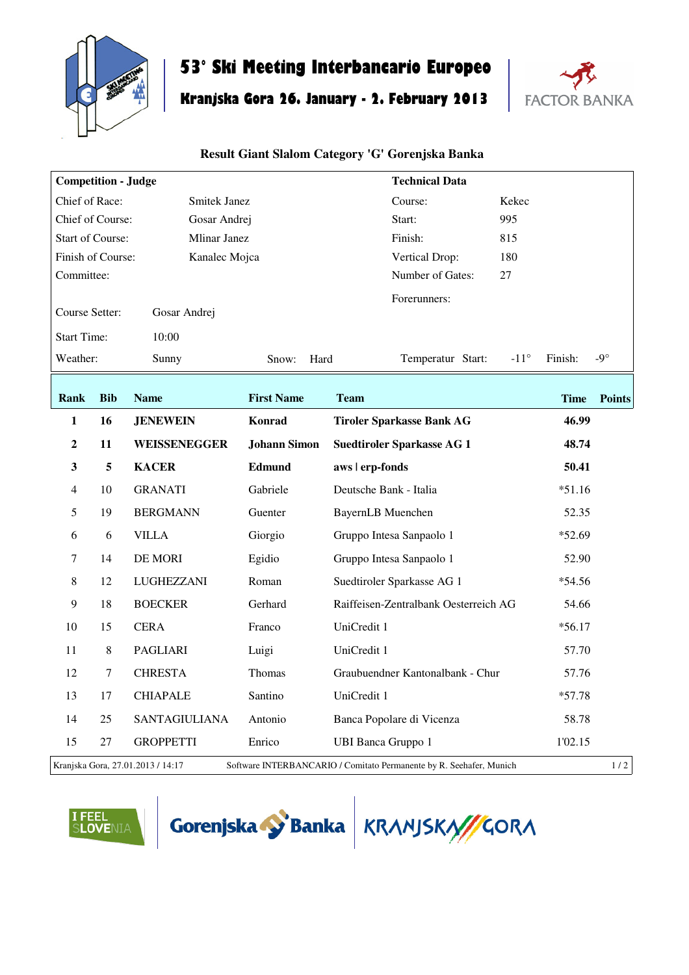

# **53° Ski Meeting Interbancario Europeo**

## **Kranjska Gora 26. January - 2. February 2013**



#### **Result Giant Slalom Category 'G' Gorenjska Banka**

| <b>Competition - Judge</b>                     |                             |                                   |                     | <b>Technical Data</b>                                               |                          |               |
|------------------------------------------------|-----------------------------|-----------------------------------|---------------------|---------------------------------------------------------------------|--------------------------|---------------|
| Chief of Race:<br><b>Smitek Janez</b>          |                             |                                   | Course:             | Kekec                                                               |                          |               |
| Chief of Course:<br>Gosar Andrej               |                             |                                   | 995<br>Start:       |                                                                     |                          |               |
| <b>Start of Course:</b><br><b>Mlinar Janez</b> |                             |                                   |                     | Finish:<br>815                                                      |                          |               |
| Finish of Course:                              |                             | Kanalec Mojca                     |                     | 180<br>Vertical Drop:                                               |                          |               |
| Committee:                                     |                             |                                   |                     | Number of Gates:<br>27                                              |                          |               |
| Course Setter:<br>Gosar Andrej                 |                             |                                   |                     | Forerunners:                                                        |                          |               |
|                                                | <b>Start Time:</b><br>10:00 |                                   |                     |                                                                     |                          |               |
| Weather:                                       |                             | Sunny                             | Hard<br>Snow:       | Temperatur Start:                                                   | $-11^{\circ}$<br>Finish: | -9 $^{\circ}$ |
| Rank                                           | <b>Bib</b>                  | <b>Name</b>                       | <b>First Name</b>   | <b>Team</b>                                                         | <b>Time</b>              | <b>Points</b> |
| 1                                              | 16                          | <b>JENEWEIN</b>                   | Konrad              | <b>Tiroler Sparkasse Bank AG</b>                                    | 46.99                    |               |
| $\boldsymbol{2}$                               | 11                          | WEISSENEGGER                      | <b>Johann Simon</b> | <b>Suedtiroler Sparkasse AG 1</b>                                   | 48.74                    |               |
| $\mathbf{3}$                                   | 5                           | <b>KACER</b>                      | Edmund              | aws   erp-fonds                                                     | 50.41                    |               |
| $\overline{4}$                                 | 10                          | <b>GRANATI</b>                    | Gabriele            | Deutsche Bank - Italia                                              | $*51.16$                 |               |
| 5                                              | 19                          | <b>BERGMANN</b>                   | Guenter             | <b>BayernLB</b> Muenchen                                            | 52.35                    |               |
| 6                                              | 6                           | <b>VILLA</b>                      | Giorgio             | Gruppo Intesa Sanpaolo 1                                            | $*52.69$                 |               |
| $\boldsymbol{7}$                               | 14                          | DE MORI                           | Egidio              | Gruppo Intesa Sanpaolo 1                                            | 52.90                    |               |
| 8                                              | 12                          | LUGHEZZANI                        | Roman               | Suedtiroler Sparkasse AG 1                                          | $*54.56$                 |               |
| $\overline{9}$                                 | 18                          | <b>BOECKER</b>                    | Gerhard             | Raiffeisen-Zentralbank Oesterreich AG                               | 54.66                    |               |
| 10                                             | 15                          | <b>CERA</b>                       | Franco              | UniCredit 1                                                         | $*56.17$                 |               |
| 11                                             | 8                           | PAGLIARI                          | Luigi               | UniCredit 1                                                         | 57.70                    |               |
| 12                                             | $\tau$                      | <b>CHRESTA</b>                    | Thomas              | Graubuendner Kantonalbank - Chur                                    | 57.76                    |               |
| 13                                             | 17                          | <b>CHIAPALE</b>                   | Santino             | UniCredit 1                                                         | $*57.78$                 |               |
| 14                                             | 25                          | <b>SANTAGIULIANA</b>              | Antonio             | Banca Popolare di Vicenza                                           | 58.78                    |               |
| 15                                             | 27                          | <b>GROPPETTI</b>                  | Enrico              | <b>UBI Banca Gruppo 1</b>                                           | 1'02.15                  |               |
|                                                |                             | Kranjska Gora, 27.01.2013 / 14:17 |                     | Software INTERBANCARIO / Comitato Permanente by R. Seehafer, Munich |                          | 1/2           |